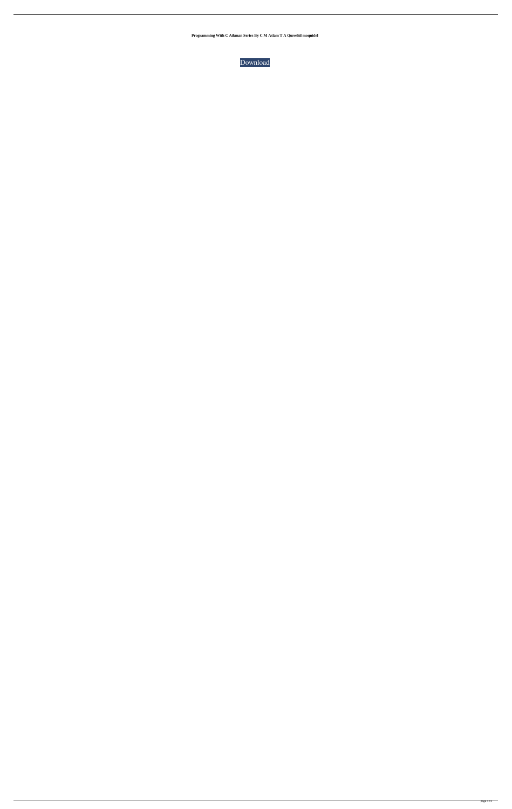**Programming With C Aikman Series By C M Aslam T A Qureshil moquidel**